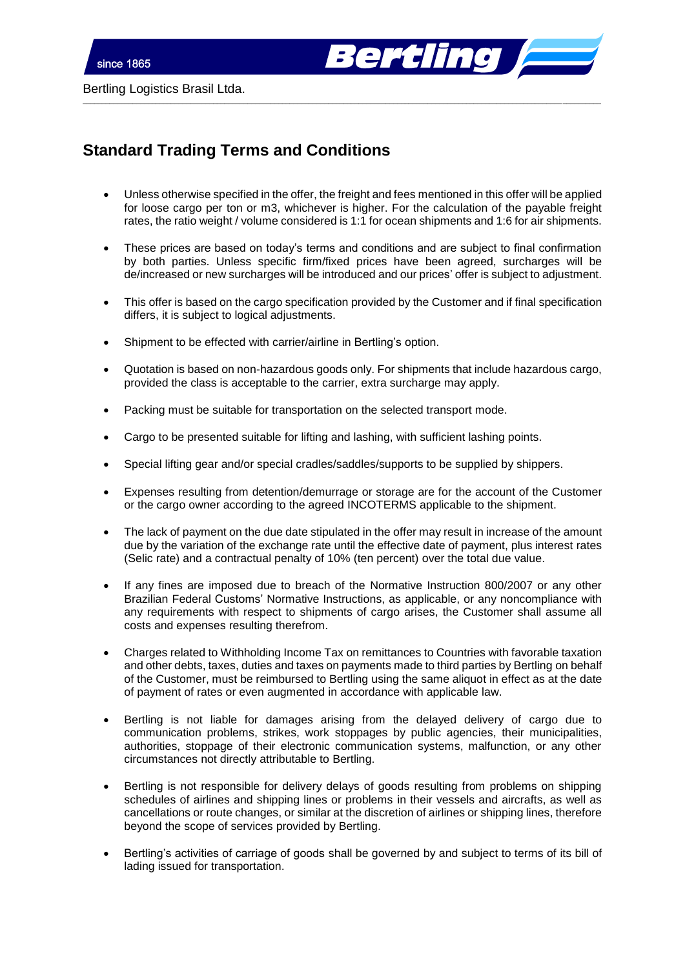

Bertling Logistics Brasil Ltda.

## **Standard Trading Terms and Conditions**

 Unless otherwise specified in the offer, the freight and fees mentioned in this offer will be applied for loose cargo per ton or m3, whichever is higher. For the calculation of the payable freight rates, the ratio weight / volume considered is 1:1 for ocean shipments and 1:6 for air shipments.

\_\_\_\_\_\_\_\_\_\_\_\_\_\_\_\_\_\_\_\_\_\_\_\_\_\_\_\_\_\_\_\_\_\_\_\_\_\_\_\_\_\_\_\_\_\_\_\_\_\_\_\_\_\_\_\_\_\_\_\_\_\_\_\_\_\_\_\_\_\_\_\_\_\_\_\_\_\_\_\_\_\_\_\_\_\_\_\_\_\_\_\_\_\_\_\_\_\_\_\_\_\_\_\_\_\_\_\_\_\_\_\_\_\_\_\_\_\_\_\_\_\_\_\_\_\_\_\_\_\_\_\_\_\_\_

- These prices are based on today's terms and conditions and are subject to final confirmation by both parties. Unless specific firm/fixed prices have been agreed, surcharges will be de/increased or new surcharges will be introduced and our prices' offer is subject to adjustment.
- This offer is based on the cargo specification provided by the Customer and if final specification differs, it is subject to logical adjustments.
- Shipment to be effected with carrier/airline in Bertling's option.
- Quotation is based on non-hazardous goods only. For shipments that include hazardous cargo, provided the class is acceptable to the carrier, extra surcharge may apply.
- Packing must be suitable for transportation on the selected transport mode.
- Cargo to be presented suitable for lifting and lashing, with sufficient lashing points.
- Special lifting gear and/or special cradles/saddles/supports to be supplied by shippers.
- Expenses resulting from detention/demurrage or storage are for the account of the Customer or the cargo owner according to the agreed INCOTERMS applicable to the shipment.
- The lack of payment on the due date stipulated in the offer may result in increase of the amount due by the variation of the exchange rate until the effective date of payment, plus interest rates (Selic rate) and a contractual penalty of 10% (ten percent) over the total due value.
- If any fines are imposed due to breach of the Normative Instruction 800/2007 or any other Brazilian Federal Customs' Normative Instructions, as applicable, or any noncompliance with any requirements with respect to shipments of cargo arises, the Customer shall assume all costs and expenses resulting therefrom.
- Charges related to Withholding Income Tax on remittances to Countries with favorable taxation and other debts, taxes, duties and taxes on payments made to third parties by Bertling on behalf of the Customer, must be reimbursed to Bertling using the same aliquot in effect as at the date of payment of rates or even augmented in accordance with applicable law.
- Bertling is not liable for damages arising from the delayed delivery of cargo due to communication problems, strikes, work stoppages by public agencies, their municipalities, authorities, stoppage of their electronic communication systems, malfunction, or any other circumstances not directly attributable to Bertling.
- Bertling is not responsible for delivery delays of goods resulting from problems on shipping schedules of airlines and shipping lines or problems in their vessels and aircrafts, as well as cancellations or route changes, or similar at the discretion of airlines or shipping lines, therefore beyond the scope of services provided by Bertling.
- Bertling's activities of carriage of goods shall be governed by and subject to terms of its bill of lading issued for transportation.